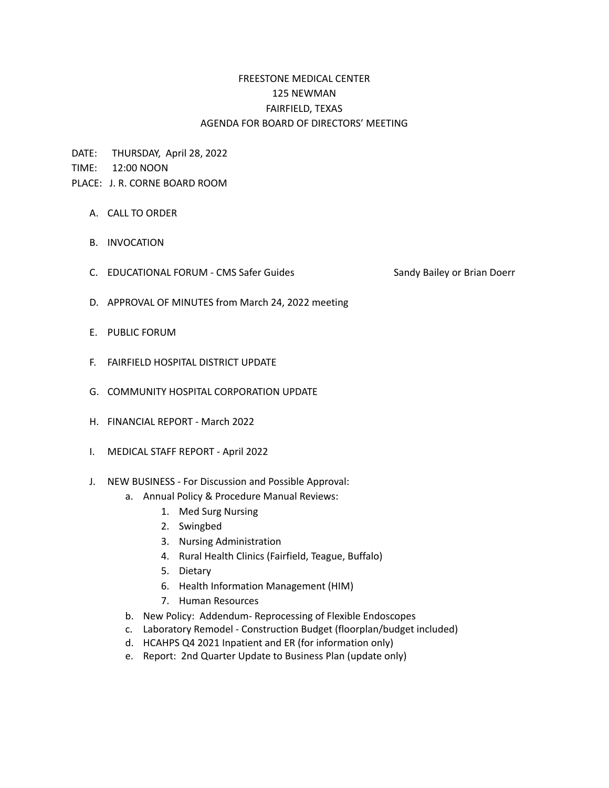## FREESTONE MEDICAL CENTER 125 NEWMAN FAIRFIELD, TEXAS AGENDA FOR BOARD OF DIRECTORS' MEETING

DATE: THURSDAY, April 28, 2022

TIME: 12:00 NOON

## PLACE: J. R. CORNE BOARD ROOM

- A. CALL TO ORDER
- B. INVOCATION
- C. EDUCATIONAL FORUM CMS Safer Guides Sandy Bailey or Brian Doerr
- D. APPROVAL OF MINUTES from March 24, 2022 meeting
- E. PUBLIC FORUM
- F. FAIRFIELD HOSPITAL DISTRICT UPDATE
- G. COMMUNITY HOSPITAL CORPORATION UPDATE
- H. FINANCIAL REPORT March 2022
- I. MEDICAL STAFF REPORT April 2022
- J. NEW BUSINESS For Discussion and Possible Approval:
	- a. Annual Policy & Procedure Manual Reviews:
		- 1. Med Surg Nursing
		- 2. Swingbed
		- 3. Nursing Administration
		- 4. Rural Health Clinics (Fairfield, Teague, Buffalo)
		- 5. Dietary
		- 6. Health Information Management (HIM)
		- 7. Human Resources
	- b. New Policy: Addendum- Reprocessing of Flexible Endoscopes
	- c. Laboratory Remodel Construction Budget (floorplan/budget included)
	- d. HCAHPS Q4 2021 Inpatient and ER (for information only)
	- e. Report: 2nd Quarter Update to Business Plan (update only)